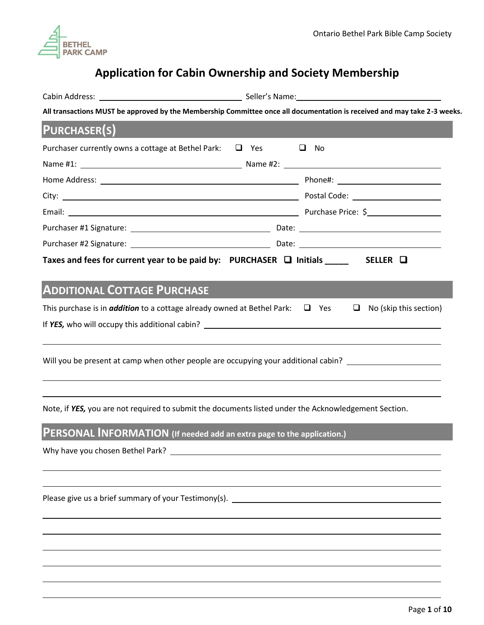

# **Application for Cabin Ownership and Society Membership**

|                                                                                                      | All transactions MUST be approved by the Membership Committee once all documentation is received and may take 2-3 weeks.                                                                                                       |
|------------------------------------------------------------------------------------------------------|--------------------------------------------------------------------------------------------------------------------------------------------------------------------------------------------------------------------------------|
| <b>PURCHASER(S)</b>                                                                                  |                                                                                                                                                                                                                                |
| Purchaser currently owns a cottage at Bethel Park: $\Box$ Yes                                        | $\Box$ No                                                                                                                                                                                                                      |
|                                                                                                      | Name #1: \\connect_{\math{\math{\math{\math{\math{\math{\math{\math{\math{\math{\math{\math{\math{\math{\math{\math{\math{\math{\math{\math{\math{\math{\math{\math{\math{\math{\math{\math{\math{\math{\math{\math{\math{\mat |
|                                                                                                      |                                                                                                                                                                                                                                |
|                                                                                                      |                                                                                                                                                                                                                                |
|                                                                                                      |                                                                                                                                                                                                                                |
|                                                                                                      |                                                                                                                                                                                                                                |
|                                                                                                      |                                                                                                                                                                                                                                |
| Taxes and fees for current year to be paid by: PURCHASER $\Box$ Initials _____ SELLER $\Box$         |                                                                                                                                                                                                                                |
|                                                                                                      |                                                                                                                                                                                                                                |
| <b>ADDITIONAL COTTAGE PURCHASE</b>                                                                   |                                                                                                                                                                                                                                |
| This purchase is in <i>addition</i> to a cottage already owned at Bethel Park: $\Box$ Yes            | $\Box$ No (skip this section)                                                                                                                                                                                                  |
|                                                                                                      |                                                                                                                                                                                                                                |
|                                                                                                      |                                                                                                                                                                                                                                |
|                                                                                                      | Will you be present at camp when other people are occupying your additional cabin? _________________                                                                                                                           |
|                                                                                                      |                                                                                                                                                                                                                                |
|                                                                                                      |                                                                                                                                                                                                                                |
| Note, if YES, you are not required to submit the documents listed under the Acknowledgement Section. |                                                                                                                                                                                                                                |
|                                                                                                      |                                                                                                                                                                                                                                |
| <b>PERSONAL INFORMATION</b> (If needed add an extra page to the application.)                        |                                                                                                                                                                                                                                |
|                                                                                                      |                                                                                                                                                                                                                                |
|                                                                                                      |                                                                                                                                                                                                                                |
|                                                                                                      |                                                                                                                                                                                                                                |
|                                                                                                      | Please give us a brief summary of your Testimony(s). ___________________________                                                                                                                                               |
|                                                                                                      |                                                                                                                                                                                                                                |
|                                                                                                      |                                                                                                                                                                                                                                |
|                                                                                                      |                                                                                                                                                                                                                                |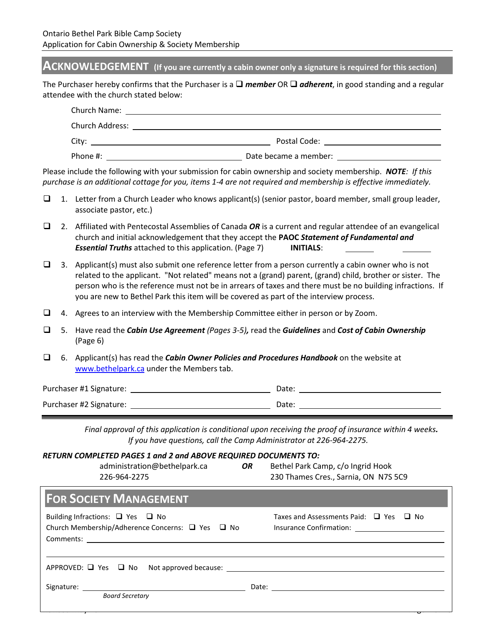## **ACKNOWLEDGEMENT (If you are currently a cabin owner only a signature is required for this section)**

The Purchaser hereby confirms that the Purchaser is a ❑ *member* OR ❑ *adherent*, in good standing and a regular attendee with the church stated below:

| Church Name:    | <u>a sa barang dalam salah sahiji dalam salah sahiji dalam kalendar dan bagi dalam salah salah sahiji dalam salah</u>                                                                                                          |  |
|-----------------|--------------------------------------------------------------------------------------------------------------------------------------------------------------------------------------------------------------------------------|--|
| Church Address: |                                                                                                                                                                                                                                |  |
|                 | Postal Code: The Contract of the Contract of the Contract of the Contract of the Contract of the Contract of the Contract of the Contract of the Contract of the Contract of the Contract of the Contract of the Contract of t |  |
| Phone #:        | Date became a member:                                                                                                                                                                                                          |  |

Please include the following with your submission for cabin ownership and society membership. *NOTE: If this purchase is an additional cottage for you, items 1-4 are not required and membership is effective immediately.*

- ❑ 1. Letter from a Church Leader who knows applicant(s) (senior pastor, board member, small group leader, associate pastor, etc.)
- ❑ 2. Affiliated with Pentecostal Assemblies of Canada *OR* is a current and regular attendee of an evangelical church and initial acknowledgement that they accept the **PAOC** *Statement of Fundamental and Essential Truths* attached to this application. (Page 7) **INITIALS**:
- $\Box$  3. Applicant(s) must also submit one reference letter from a person currently a cabin owner who is not related to the applicant. "Not related" means not a (grand) parent, (grand) child, brother or sister. The person who is the reference must not be in arrears of taxes and there must be no building infractions. If you are new to Bethel Park this item will be covered as part of the interview process.
- ❑ 4. Agrees to an interview with the Membership Committee either in person or by Zoom.
- ❑ 5. Have read the *Cabin Use Agreement (Pages 3-5),* read the *Guidelines* and *Cost of Cabin Ownership* (Page 6)
- ❑ 6. Applicant(s) has read the *Cabin Owner Policies and Procedures Handbook* on the website at [www.bethelpark.ca](http://www.bethelpark.ca/) under the Members tab.

| Purchaser #1 Signature: | Date: |  |
|-------------------------|-------|--|
| Purchaser #2 Signature: | Date: |  |

*Final approval of this application is conditional upon receiving the proof of insurance within 4 weeks. If you have questions, call the Camp Administrator at 226-964-2275.*

| RETURN COMPLETED PAGES 1 and 2 and ABOVE REQUIRED DOCUMENTS TO: |  |  |  |
|-----------------------------------------------------------------|--|--|--|
|-----------------------------------------------------------------|--|--|--|

| administration@bethelpark.ca<br>226-964-2275 | <b>OR</b> | Bethel Park Camp, c/o Ingrid Hook<br>230 Thames Cres., Sarnia, ON N7S 5C9 |
|----------------------------------------------|-----------|---------------------------------------------------------------------------|
|                                              |           |                                                                           |

| <b>FOR SOCIETY MANAGEMENT</b>                                                                           |                                                  |
|---------------------------------------------------------------------------------------------------------|--------------------------------------------------|
| Building Infractions: $\Box$ Yes $\Box$ No<br>Church Membership/Adherence Concerns: □ Yes □ No          | Taxes and Assessments Paid: $\Box$ Yes $\Box$ No |
| $APPROVED: \tQ \tYes \tQ \tNo \t Approved because: \t\underline{\t\begin{bmatrix} 0 & 1 \end{bmatrix}}$ |                                                  |
| <b>Board Secretary</b>                                                                                  |                                                  |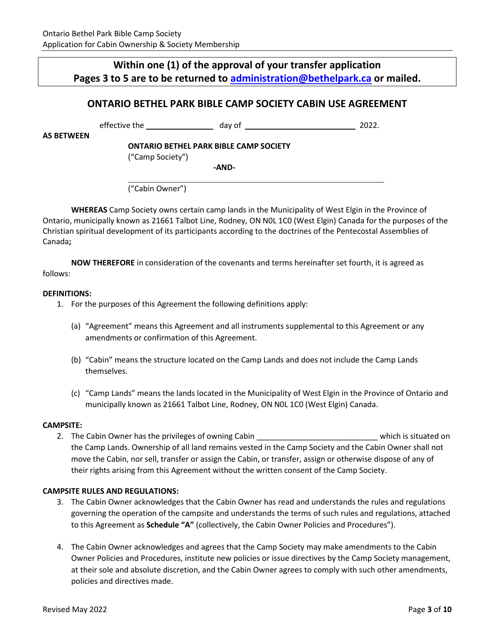# **Within one (1) of the approval of your transfer application Pages 3 to 5 are to be returned to [administration@bethelpark.ca](mailto:administration@bethelpark.ca) or mailed.**

# **ONTARIO BETHEL PARK BIBLE CAMP SOCIETY CABIN USE AGREEMENT**

effective the day of 2022.

**AS BETWEEN** 

**ONTARIO BETHEL PARK BIBLE CAMP SOCIETY**

("Camp Society")

**-AND-**

("Cabin Owner")

**WHEREAS** Camp Society owns certain camp lands in the Municipality of West Elgin in the Province of Ontario, municipally known as 21661 Talbot Line, Rodney, ON N0L 1C0 (West Elgin) Canada for the purposes of the Christian spiritual development of its participants according to the doctrines of the Pentecostal Assemblies of Canada**;** 

**NOW THEREFORE** in consideration of the covenants and terms hereinafter set fourth, it is agreed as follows:

#### **DEFINITIONS:**

- 1. For the purposes of this Agreement the following definitions apply:
	- (a) "Agreement" means this Agreement and all instruments supplemental to this Agreement or any amendments or confirmation of this Agreement.
	- (b) "Cabin" means the structure located on the Camp Lands and does not include the Camp Lands themselves.
	- (c) "Camp Lands" means the lands located in the Municipality of West Elgin in the Province of Ontario and municipally known as 21661 Talbot Line, Rodney, ON N0L 1C0 (West Elgin) Canada.

### **CAMPSITE:**

2. The Cabin Owner has the privileges of owning Cabin \_\_\_\_\_\_\_\_\_\_\_\_\_\_\_\_\_\_\_\_\_\_\_\_\_\_\_\_ which is situated on the Camp Lands. Ownership of all land remains vested in the Camp Society and the Cabin Owner shall not move the Cabin, nor sell, transfer or assign the Cabin, or transfer, assign or otherwise dispose of any of their rights arising from this Agreement without the written consent of the Camp Society.

#### **CAMPSITE RULES AND REGULATIONS:**

- 3. The Cabin Owner acknowledges that the Cabin Owner has read and understands the rules and regulations governing the operation of the campsite and understands the terms of such rules and regulations, attached to this Agreement as **Schedule "A"** (collectively, the Cabin Owner Policies and Procedures").
- 4. The Cabin Owner acknowledges and agrees that the Camp Society may make amendments to the Cabin Owner Policies and Procedures, institute new policies or issue directives by the Camp Society management, at their sole and absolute discretion, and the Cabin Owner agrees to comply with such other amendments, policies and directives made.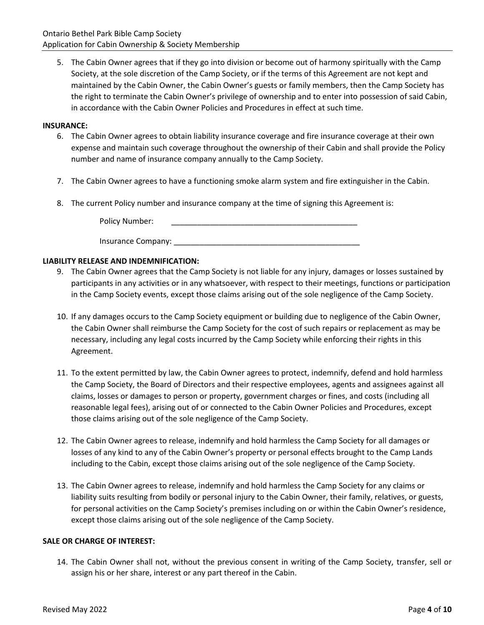5. The Cabin Owner agrees that if they go into division or become out of harmony spiritually with the Camp Society, at the sole discretion of the Camp Society, or if the terms of this Agreement are not kept and maintained by the Cabin Owner, the Cabin Owner's guests or family members, then the Camp Society has the right to terminate the Cabin Owner's privilege of ownership and to enter into possession of said Cabin, in accordance with the Cabin Owner Policies and Procedures in effect at such time.

#### **INSURANCE:**

- 6. The Cabin Owner agrees to obtain liability insurance coverage and fire insurance coverage at their own expense and maintain such coverage throughout the ownership of their Cabin and shall provide the Policy number and name of insurance company annually to the Camp Society.
- 7. The Cabin Owner agrees to have a functioning smoke alarm system and fire extinguisher in the Cabin.
- 8. The current Policy number and insurance company at the time of signing this Agreement is:

Policy Number:

### **LIABILITY RELEASE AND INDEMNIFICATION:**

- 9. The Cabin Owner agrees that the Camp Society is not liable for any injury, damages or losses sustained by participants in any activities or in any whatsoever, with respect to their meetings, functions or participation in the Camp Society events, except those claims arising out of the sole negligence of the Camp Society.
- 10. If any damages occurs to the Camp Society equipment or building due to negligence of the Cabin Owner, the Cabin Owner shall reimburse the Camp Society for the cost of such repairs or replacement as may be necessary, including any legal costs incurred by the Camp Society while enforcing their rights in this Agreement.
- 11. To the extent permitted by law, the Cabin Owner agrees to protect, indemnify, defend and hold harmless the Camp Society, the Board of Directors and their respective employees, agents and assignees against all claims, losses or damages to person or property, government charges or fines, and costs (including all reasonable legal fees), arising out of or connected to the Cabin Owner Policies and Procedures, except those claims arising out of the sole negligence of the Camp Society.
- 12. The Cabin Owner agrees to release, indemnify and hold harmless the Camp Society for all damages or losses of any kind to any of the Cabin Owner's property or personal effects brought to the Camp Lands including to the Cabin, except those claims arising out of the sole negligence of the Camp Society.
- 13. The Cabin Owner agrees to release, indemnify and hold harmless the Camp Society for any claims or liability suits resulting from bodily or personal injury to the Cabin Owner, their family, relatives, or guests, for personal activities on the Camp Society's premises including on or within the Cabin Owner's residence, except those claims arising out of the sole negligence of the Camp Society.

#### **SALE OR CHARGE OF INTEREST:**

14. The Cabin Owner shall not, without the previous consent in writing of the Camp Society, transfer, sell or assign his or her share, interest or any part thereof in the Cabin.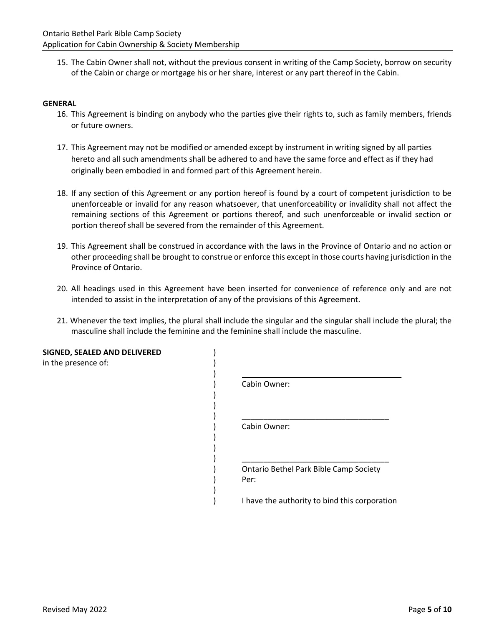15. The Cabin Owner shall not, without the previous consent in writing of the Camp Society, borrow on security of the Cabin or charge or mortgage his or her share, interest or any part thereof in the Cabin.

#### **GENERAL**

- 16. This Agreement is binding on anybody who the parties give their rights to, such as family members, friends or future owners.
- 17. This Agreement may not be modified or amended except by instrument in writing signed by all parties hereto and all such amendments shall be adhered to and have the same force and effect as if they had originally been embodied in and formed part of this Agreement herein.
- 18. If any section of this Agreement or any portion hereof is found by a court of competent jurisdiction to be unenforceable or invalid for any reason whatsoever, that unenforceability or invalidity shall not affect the remaining sections of this Agreement or portions thereof, and such unenforceable or invalid section or portion thereof shall be severed from the remainder of this Agreement.
- 19. This Agreement shall be construed in accordance with the laws in the Province of Ontario and no action or other proceeding shall be brought to construe or enforce this except in those courts having jurisdiction in the Province of Ontario.
- 20. All headings used in this Agreement have been inserted for convenience of reference only and are not intended to assist in the interpretation of any of the provisions of this Agreement.
- 21. Whenever the text implies, the plural shall include the singular and the singular shall include the plural; the masculine shall include the feminine and the feminine shall include the masculine.

| SIGNED, SEALED AND DELIVERED<br>in the presence of: |                                                |
|-----------------------------------------------------|------------------------------------------------|
|                                                     | Cabin Owner:                                   |
|                                                     | Cabin Owner:                                   |
|                                                     |                                                |
|                                                     | Ontario Bethel Park Bible Camp Society<br>Per: |
|                                                     | I have the authority to bind this corporation  |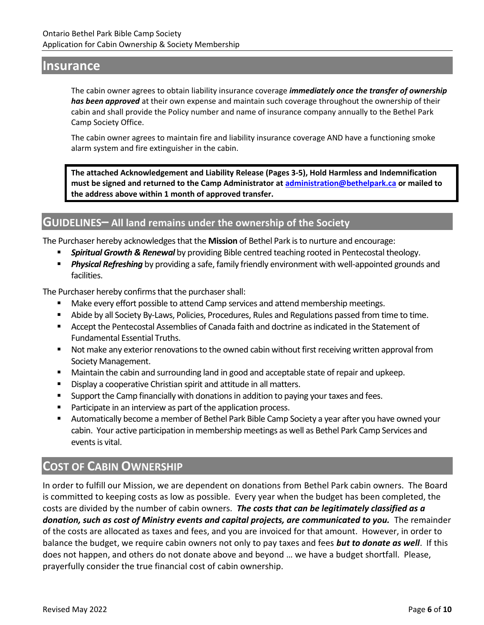# **Insurance**

The cabin owner agrees to obtain liability insurance coverage *immediately once the transfer of ownership has been approved* at their own expense and maintain such coverage throughout the ownership of their cabin and shall provide the Policy number and name of insurance company annually to the Bethel Park Camp Society Office.

The cabin owner agrees to maintain fire and liability insurance coverage AND have a functioning smoke alarm system and fire extinguisher in the cabin.

**The attached Acknowledgement and Liability Release (Pages 3-5), Hold Harmless and Indemnification must be signed and returned to the Camp Administrator at [administration@bethelpark.ca](mailto:administration@bethelpark.ca) or mailed to the address above within 1 month of approved transfer.**

# **GUIDELINES– All land remains under the ownership of the Society**

The Purchaser hereby acknowledges that the **Mission** of Bethel Park is to nurture and encourage:

- **Spiritual Growth & Renewal** by providing Bible centred teaching rooted in Pentecostal theology.
- **Physical Refreshing** by providing a safe, family friendly environment with well-appointed grounds and facilities.

The Purchaser hereby confirms that the purchaser shall:

- Make every effort possible to attend Camp services and attend membership meetings.
- Abide by all Society By-Laws, Policies, Procedures, Rules and Regulations passed from time to time.
- Accept the Pentecostal Assemblies of Canada faith and doctrine as indicated in the Statement of Fundamental Essential Truths.
- Not make any exterior renovations to the owned cabin without first receiving written approval from Society Management.
- Maintain the cabin and surrounding land in good and acceptable state of repair and upkeep.
- Display a cooperative Christian spirit and attitude in all matters.
- Support the Camp financially with donations in addition to paying your taxes and fees.
- Participate in an interview as part of the application process.
- Automatically become a member of Bethel Park Bible Camp Society a year after you have owned your cabin. Your active participation in membership meetings as well as Bethel Park Camp Services and events is vital.

# **COST OF CABIN OWNERSHIP**

In order to fulfill our Mission, we are dependent on donations from Bethel Park cabin owners. The Board is committed to keeping costs as low as possible. Every year when the budget has been completed, the costs are divided by the number of cabin owners. *The costs that can be legitimately classified as a donation, such as cost of Ministry events and capital projects, are communicated to you.* The remainder of the costs are allocated as taxes and fees, and you are invoiced for that amount. However, in order to balance the budget, we require cabin owners not only to pay taxes and fees *but to donate as well*. If this does not happen, and others do not donate above and beyond … we have a budget shortfall. Please, prayerfully consider the true financial cost of cabin ownership.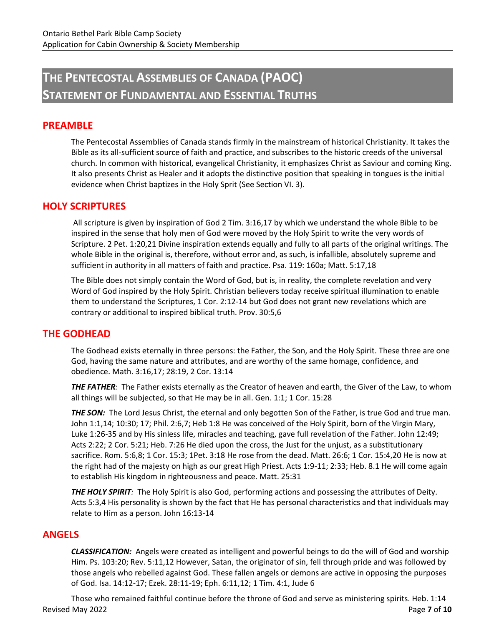# **THE PENTECOSTAL ASSEMBLIES OF CANADA (PAOC) STATEMENT OF FUNDAMENTAL AND ESSENTIAL TRUTHS**

## **PREAMBLE**

The Pentecostal Assemblies of Canada stands firmly in the mainstream of historical Christianity. It takes the Bible as its all-sufficient source of faith and practice, and subscribes to the historic creeds of the universal church. In common with historical, evangelical Christianity, it emphasizes Christ as Saviour and coming King. It also presents Christ as Healer and it adopts the distinctive position that speaking in tongues is the initial evidence when Christ baptizes in the Holy Sprit (See Section VI. 3).

## **HOLY SCRIPTURES**

All scripture is given by inspiration of God 2 Tim. 3:16,17 by which we understand the whole Bible to be inspired in the sense that holy men of God were moved by the Holy Spirit to write the very words of Scripture. 2 Pet. 1:20,21 Divine inspiration extends equally and fully to all parts of the original writings. The whole Bible in the original is, therefore, without error and, as such, is infallible, absolutely supreme and sufficient in authority in all matters of faith and practice. Psa. 119: 160a; Matt. 5:17,18

The Bible does not simply contain the Word of God, but is, in reality, the complete revelation and very Word of God inspired by the Holy Spirit. Christian believers today receive spiritual illumination to enable them to understand the Scriptures, 1 Cor. 2:12-14 but God does not grant new revelations which are contrary or additional to inspired biblical truth. Prov. 30:5,6

## **THE GODHEAD**

The Godhead exists eternally in three persons: the Father, the Son, and the Holy Spirit. These three are one God, having the same nature and attributes, and are worthy of the same homage, confidence, and obedience. Math. 3:16,17; 28:19, 2 Cor. 13:14

*THE FATHER:* The Father exists eternally as the Creator of heaven and earth, the Giver of the Law, to whom all things will be subjected, so that He may be in all. Gen. 1:1; 1 Cor. 15:28

**THE SON:** The Lord Jesus Christ, the eternal and only begotten Son of the Father, is true God and true man. John 1:1,14; 10:30; 17; Phil. 2:6,7; Heb 1:8 He was conceived of the Holy Spirit, born of the Virgin Mary, Luke 1:26-35 and by His sinless life, miracles and teaching, gave full revelation of the Father. John 12:49; Acts 2:22; 2 Cor. 5:21; Heb. 7:26 He died upon the cross, the Just for the unjust, as a substitutionary sacrifice. Rom. 5:6,8; 1 Cor. 15:3; 1Pet. 3:18 He rose from the dead. Matt. 26:6; 1 Cor. 15:4,20 He is now at the right had of the majesty on high as our great High Priest. Acts 1:9-11; 2:33; Heb. 8.1 He will come again to establish His kingdom in righteousness and peace. Matt. 25:31

*THE HOLY SPIRIT:* The Holy Spirit is also God, performing actions and possessing the attributes of Deity. Acts 5:3,4 His personality is shown by the fact that He has personal characteristics and that individuals may relate to Him as a person. John 16:13-14

## **ANGELS**

*CLASSIFICATION:* Angels were created as intelligent and powerful beings to do the will of God and worship Him. Ps. 103:20; Rev. 5:11,12 However, Satan, the originator of sin, fell through pride and was followed by those angels who rebelled against God. These fallen angels or demons are active in opposing the purposes of God. Isa. 14:12-17; Ezek. 28:11-19; Eph. 6:11,12; 1 Tim. 4:1, Jude 6

Revised May 2022 Page **7** of **10** Those who remained faithful continue before the throne of God and serve as ministering spirits. Heb. 1:14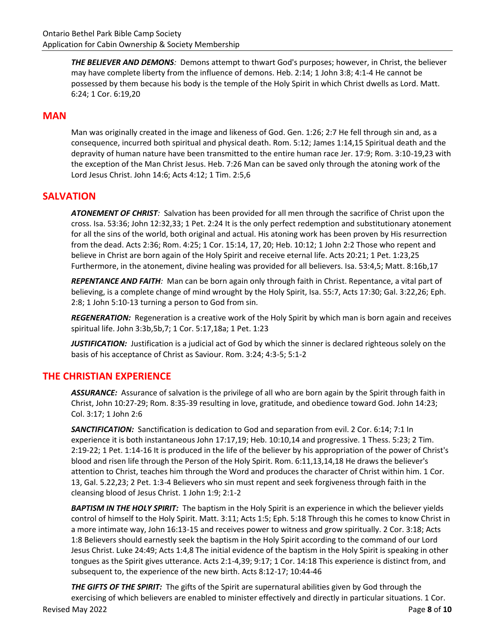*THE BELIEVER AND DEMONS:* Demons attempt to thwart God's purposes; however, in Christ, the believer may have complete liberty from the influence of demons. Heb. 2:14; 1 John 3:8; 4:1-4 He cannot be possessed by them because his body is the temple of the Holy Spirit in which Christ dwells as Lord. Matt. 6:24; 1 Cor. 6:19,20

## **MAN**

Man was originally created in the image and likeness of God. Gen. 1:26; 2:7 He fell through sin and, as a consequence, incurred both spiritual and physical death. Rom. 5:12; James 1:14,15 Spiritual death and the depravity of human nature have been transmitted to the entire human race Jer. 17:9; Rom. 3:10-19,23 with the exception of the Man Christ Jesus. Heb. 7:26 Man can be saved only through the atoning work of the Lord Jesus Christ. John 14:6; Acts 4:12; 1 Tim. 2:5,6

## **SALVATION**

*ATONEMENT OF CHRIST:* Salvation has been provided for all men through the sacrifice of Christ upon the cross. Isa. 53:36; John 12:32,33; 1 Pet. 2:24 It is the only perfect redemption and substitutionary atonement for all the sins of the world, both original and actual. His atoning work has been proven by His resurrection from the dead. Acts 2:36; Rom. 4:25; 1 Cor. 15:14, 17, 20; Heb. 10:12; 1 John 2:2 Those who repent and believe in Christ are born again of the Holy Spirit and receive eternal life. Acts 20:21; 1 Pet. 1:23,25 Furthermore, in the atonement, divine healing was provided for all believers. Isa. 53:4,5; Matt. 8:16b,17

*REPENTANCE AND FAITH:* Man can be born again only through faith in Christ. Repentance, a vital part of believing, is a complete change of mind wrought by the Holy Spirit, Isa. 55:7, Acts 17:30; Gal. 3:22,26; Eph. 2:8; 1 John 5:10-13 turning a person to God from sin.

*REGENERATION:* Regeneration is a creative work of the Holy Spirit by which man is born again and receives spiritual life. John 3:3b,5b,7; 1 Cor. 5:17,18a; 1 Pet. 1:23

*JUSTIFICATION:* Justification is a judicial act of God by which the sinner is declared righteous solely on the basis of his acceptance of Christ as Saviour. Rom. 3:24; 4:3-5; 5:1-2

## **THE CHRISTIAN EXPERIENCE**

*ASSURANCE:* Assurance of salvation is the privilege of all who are born again by the Spirit through faith in Christ, John 10:27-29; Rom. 8:35-39 resulting in love, gratitude, and obedience toward God. John 14:23; Col. 3:17; 1 John 2:6

*SANCTIFICATION:* Sanctification is dedication to God and separation from evil. 2 Cor. 6:14; 7:1 In experience it is both instantaneous John 17:17,19; Heb. 10:10,14 and progressive. 1 Thess. 5:23; 2 Tim. 2:19-22; 1 Pet. 1:14-16 It is produced in the life of the believer by his appropriation of the power of Christ's blood and risen life through the Person of the Holy Spirit. Rom. 6:11,13,14,18 He draws the believer's attention to Christ, teaches him through the Word and produces the character of Christ within him. 1 Cor. 13, Gal. 5.22,23; 2 Pet. 1:3-4 Believers who sin must repent and seek forgiveness through faith in the cleansing blood of Jesus Christ. 1 John 1:9; 2:1-2

*BAPTISM IN THE HOLY SPIRIT:* The baptism in the Holy Spirit is an experience in which the believer yields control of himself to the Holy Spirit. Matt. 3:11; Acts 1:5; Eph. 5:18 Through this he comes to know Christ in a more intimate way, John 16:13-15 and receives power to witness and grow spiritually. 2 Cor. 3:18; Acts 1:8 Believers should earnestly seek the baptism in the Holy Spirit according to the command of our Lord Jesus Christ. Luke 24:49; Acts 1:4,8 The initial evidence of the baptism in the Holy Spirit is speaking in other tongues as the Spirit gives utterance. Acts 2:1-4,39; 9:17; 1 Cor. 14:18 This experience is distinct from, and subsequent to, the experience of the new birth. Acts 8:12-17; 10:44-46

Revised May 2022 Page **8** of **10** *THE GIFTS OF THE SPIRIT:* The gifts of the Spirit are supernatural abilities given by God through the exercising of which believers are enabled to minister effectively and directly in particular situations. 1 Cor.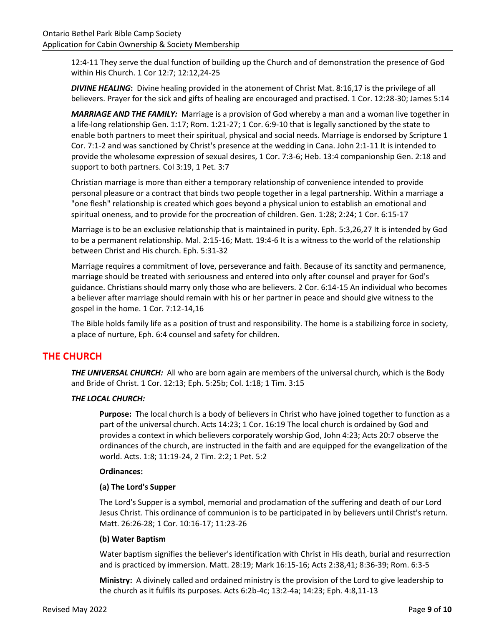12:4-11 They serve the dual function of building up the Church and of demonstration the presence of God within His Church. 1 Cor 12:7; 12:12,24-25

*DIVINE HEALING***:** Divine healing provided in the atonement of Christ Mat. 8:16,17 is the privilege of all believers. Prayer for the sick and gifts of healing are encouraged and practised. 1 Cor. 12:28-30; James 5:14

*MARRIAGE AND THE FAMILY:* Marriage is a provision of God whereby a man and a woman live together in a life-long relationship Gen. 1:17; Rom. 1:21-27; 1 Cor. 6:9-10 that is legally sanctioned by the state to enable both partners to meet their spiritual, physical and social needs. Marriage is endorsed by Scripture 1 Cor. 7:1-2 and was sanctioned by Christ's presence at the wedding in Cana. John 2:1-11 It is intended to provide the wholesome expression of sexual desires, 1 Cor. 7:3-6; Heb. 13:4 companionship Gen. 2:18 and support to both partners. Col 3:19, 1 Pet. 3:7

Christian marriage is more than either a temporary relationship of convenience intended to provide personal pleasure or a contract that binds two people together in a legal partnership. Within a marriage a "one flesh" relationship is created which goes beyond a physical union to establish an emotional and spiritual oneness, and to provide for the procreation of children. Gen. 1:28; 2:24; 1 Cor. 6:15-17

Marriage is to be an exclusive relationship that is maintained in purity. Eph. 5:3,26,27 It is intended by God to be a permanent relationship. Mal. 2:15-16; Matt. 19:4-6 It is a witness to the world of the relationship between Christ and His church. Eph. 5:31-32

Marriage requires a commitment of love, perseverance and faith. Because of its sanctity and permanence, marriage should be treated with seriousness and entered into only after counsel and prayer for God's guidance. Christians should marry only those who are believers. 2 Cor. 6:14-15 An individual who becomes a believer after marriage should remain with his or her partner in peace and should give witness to the gospel in the home. 1 Cor. 7:12-14,16

The Bible holds family life as a position of trust and responsibility. The home is a stabilizing force in society, a place of nurture, Eph. 6:4 counsel and safety for children.

# **THE CHURCH**

*THE UNIVERSAL CHURCH:* All who are born again are members of the universal church, which is the Body and Bride of Christ. 1 Cor. 12:13; Eph. 5:25b; Col. 1:18; 1 Tim. 3:15

## *THE LOCAL CHURCH:*

**Purpose:** The local church is a body of believers in Christ who have joined together to function as a part of the universal church. Acts 14:23; 1 Cor. 16:19 The local church is ordained by God and provides a context in which believers corporately worship God, John 4:23; Acts 20:7 observe the ordinances of the church, are instructed in the faith and are equipped for the evangelization of the world. Acts. 1:8; 11:19-24, 2 Tim. 2:2; 1 Pet. 5:2

### **Ordinances:**

### **(a) The Lord's Supper**

The Lord's Supper is a symbol, memorial and proclamation of the suffering and death of our Lord Jesus Christ. This ordinance of communion is to be participated in by believers until Christ's return. Matt. 26:26-28; 1 Cor. 10:16-17; 11:23-26

### **(b) Water Baptism**

Water baptism signifies the believer's identification with Christ in His death, burial and resurrection and is practiced by immersion. Matt. 28:19; Mark 16:15-16; Acts 2:38,41; 8:36-39; Rom. 6:3-5

**Ministry:** A divinely called and ordained ministry is the provision of the Lord to give leadership to the church as it fulfils its purposes. Acts 6:2b-4c; 13:2-4a; 14:23; Eph. 4:8,11-13